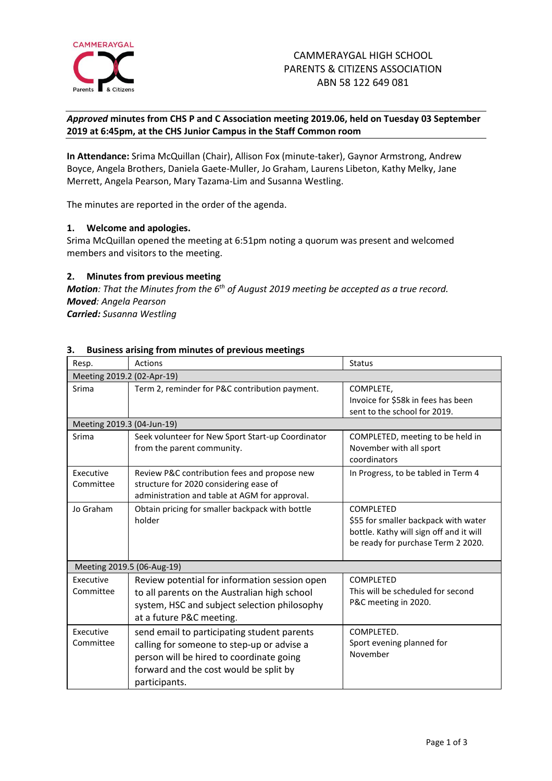

# *Approved* **minutes from CHS P and C Association meeting 2019.06, held on Tuesday 03 September 2019 at 6:45pm, at the CHS Junior Campus in the Staff Common room**

**In Attendance:** Srima McQuillan (Chair), Allison Fox (minute-taker), Gaynor Armstrong, Andrew Boyce, Angela Brothers, Daniela Gaete-Muller, Jo Graham, Laurens Libeton, Kathy Melky, Jane Merrett, Angela Pearson, Mary Tazama-Lim and Susanna Westling.

The minutes are reported in the order of the agenda.

## **1. Welcome and apologies.**

Srima McQuillan opened the meeting at 6:51pm noting a quorum was present and welcomed members and visitors to the meeting.

#### **2. Minutes from previous meeting**

*Motion: That the Minutes from the 6th of August 2019 meeting be accepted as a true record. Moved: Angela Pearson Carried: Susanna Westling*

| Resp.                      | <b>Actions</b>                                                                                                                                                                                   | <b>Status</b>                                                                                                                      |
|----------------------------|--------------------------------------------------------------------------------------------------------------------------------------------------------------------------------------------------|------------------------------------------------------------------------------------------------------------------------------------|
| Meeting 2019.2 (02-Apr-19) |                                                                                                                                                                                                  |                                                                                                                                    |
| Srima                      | Term 2, reminder for P&C contribution payment.                                                                                                                                                   | COMPLETE,<br>Invoice for \$58k in fees has been<br>sent to the school for 2019.                                                    |
| Meeting 2019.3 (04-Jun-19) |                                                                                                                                                                                                  |                                                                                                                                    |
| Srima                      | Seek volunteer for New Sport Start-up Coordinator<br>from the parent community.                                                                                                                  | COMPLETED, meeting to be held in<br>November with all sport<br>coordinators                                                        |
| Executive<br>Committee     | Review P&C contribution fees and propose new<br>structure for 2020 considering ease of<br>administration and table at AGM for approval.                                                          | In Progress, to be tabled in Term 4                                                                                                |
| Jo Graham                  | Obtain pricing for smaller backpack with bottle<br>holder                                                                                                                                        | COMPLETED<br>\$55 for smaller backpack with water<br>bottle. Kathy will sign off and it will<br>be ready for purchase Term 2 2020. |
| Meeting 2019.5 (06-Aug-19) |                                                                                                                                                                                                  |                                                                                                                                    |
| Executive<br>Committee     | Review potential for information session open<br>to all parents on the Australian high school<br>system, HSC and subject selection philosophy<br>at a future P&C meeting.                        | COMPLETED<br>This will be scheduled for second<br>P&C meeting in 2020.                                                             |
| Executive<br>Committee     | send email to participating student parents<br>calling for someone to step-up or advise a<br>person will be hired to coordinate going<br>forward and the cost would be split by<br>participants. | COMPLETED.<br>Sport evening planned for<br>November                                                                                |

## **3. Business arising from minutes of previous meetings**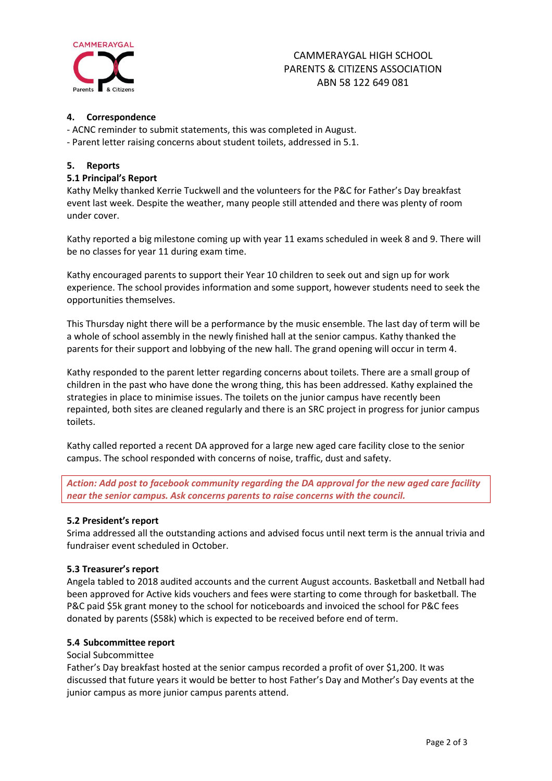

## **4. Correspondence**

- ACNC reminder to submit statements, this was completed in August.

- Parent letter raising concerns about student toilets, addressed in 5.1.

## **5. Reports**

## **5.1 Principal's Report**

Kathy Melky thanked Kerrie Tuckwell and the volunteers for the P&C for Father's Day breakfast event last week. Despite the weather, many people still attended and there was plenty of room under cover.

Kathy reported a big milestone coming up with year 11 exams scheduled in week 8 and 9. There will be no classes for year 11 during exam time.

Kathy encouraged parents to support their Year 10 children to seek out and sign up for work experience. The school provides information and some support, however students need to seek the opportunities themselves.

This Thursday night there will be a performance by the music ensemble. The last day of term will be a whole of school assembly in the newly finished hall at the senior campus. Kathy thanked the parents for their support and lobbying of the new hall. The grand opening will occur in term 4.

Kathy responded to the parent letter regarding concerns about toilets. There are a small group of children in the past who have done the wrong thing, this has been addressed. Kathy explained the strategies in place to minimise issues. The toilets on the junior campus have recently been repainted, both sites are cleaned regularly and there is an SRC project in progress for junior campus toilets.

Kathy called reported a recent DA approved for a large new aged care facility close to the senior campus. The school responded with concerns of noise, traffic, dust and safety.

*Action: Add post to facebook community regarding the DA approval for the new aged care facility near the senior campus. Ask concerns parents to raise concerns with the council.* 

#### **5.2 President's report**

Srima addressed all the outstanding actions and advised focus until next term is the annual trivia and fundraiser event scheduled in October.

#### **5.3 Treasurer's report**

Angela tabled to 2018 audited accounts and the current August accounts. Basketball and Netball had been approved for Active kids vouchers and fees were starting to come through for basketball. The P&C paid \$5k grant money to the school for noticeboards and invoiced the school for P&C fees donated by parents (\$58k) which is expected to be received before end of term.

#### **5.4 Subcommittee report**

#### Social Subcommittee

Father's Day breakfast hosted at the senior campus recorded a profit of over \$1,200. It was discussed that future years it would be better to host Father's Day and Mother's Day events at the junior campus as more junior campus parents attend.